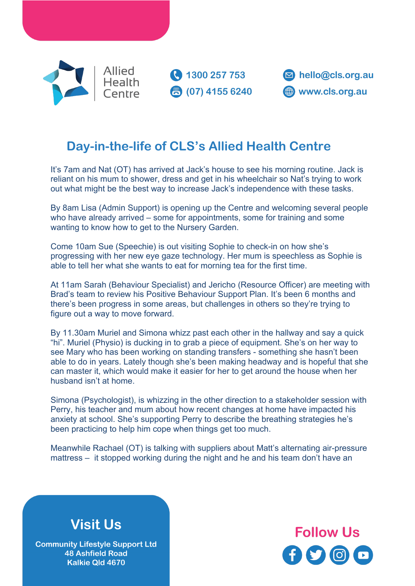

**C** 1300 257 753 **3** (07) 4155 6240



## **Day-in-the-life of CLS's Allied Health Centre**

It's 7am and Nat (OT) has arrived at Jack's house to see his morning routine. Jack is reliant on his mum to shower, dress and get in his wheelchair so Nat's trying to work out what might be the best way to increase Jack's independence with these tasks.

By 8am Lisa (Admin Support) is opening up the Centre and welcoming several people who have already arrived – some for appointments, some for training and some wanting to know how to get to the Nursery Garden.

Come 10am Sue (Speechie) is out visiting Sophie to check-in on how she's progressing with her new eye gaze technology. Her mum is speechless as Sophie is able to tell her what she wants to eat for morning tea for the first time.

At 11am Sarah (Behaviour Specialist) and Jericho (Resource Officer) are meeting with Brad's team to review his Positive Behaviour Support Plan. It's been 6 months and there's been progress in some areas, but challenges in others so they're trying to figure out a way to move forward.

By 11.30am Muriel and Simona whizz past each other in the hallway and say a quick "hi". Muriel (Physio) is ducking in to grab a piece of equipment. She's on her way to see Mary who has been working on standing transfers - something she hasn't been able to do in years. Lately though she's been making headway and is hopeful that she can master it, which would make it easier for her to get around the house when her husband isn't at home.

Simona (Psychologist), is whizzing in the other direction to a stakeholder session with Perry, his teacher and mum about how recent changes at home have impacted his anxiety at school. She's supporting Perry to describe the breathing strategies he's been practicing to help him cope when things get too much.

Meanwhile Rachael (OT) is talking with suppliers about Matt's alternating air-pressure mattress – it stopped working during the night and he and his team don't have an

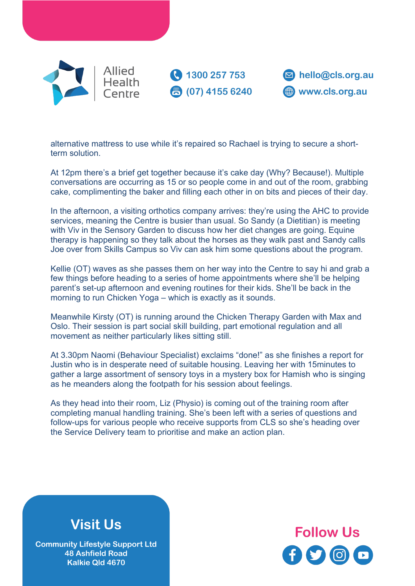

**1300 257 753 3** (07) 4155 6240



alternative mattress to use while it's repaired so Rachael is trying to secure a shortterm solution.

At 12pm there's a brief get together because it's cake day (Why? Because!). Multiple conversations are occurring as 15 or so people come in and out of the room, grabbing cake, complimenting the baker and filling each other in on bits and pieces of their day.

In the afternoon, a visiting orthotics company arrives: they're using the AHC to provide services, meaning the Centre is busier than usual. So Sandy (a Dietitian) is meeting with Viv in the Sensory Garden to discuss how her diet changes are going. Equine therapy is happening so they talk about the horses as they walk past and Sandy calls Joe over from Skills Campus so Viv can ask him some questions about the program.

Kellie (OT) waves as she passes them on her way into the Centre to say hi and grab a few things before heading to a series of home appointments where she'll be helping parent's set-up afternoon and evening routines for their kids. She'll be back in the morning to run Chicken Yoga – which is exactly as it sounds.

Meanwhile Kirsty (OT) is running around the Chicken Therapy Garden with Max and Oslo. Their session is part social skill building, part emotional regulation and all movement as neither particularly likes sitting still.

At 3.30pm Naomi (Behaviour Specialist) exclaims "done!" as she finishes a report for Justin who is in desperate need of suitable housing. Leaving her with 15minutes to gather a large assortment of sensory toys in a mystery box for Hamish who is singing as he meanders along the footpath for his session about feelings.

As they head into their room, Liz (Physio) is coming out of the training room after completing manual handling training. She's been left with a series of questions and follow-ups for various people who receive supports from CLS so she's heading over the Service Delivery team to prioritise and make an action plan.